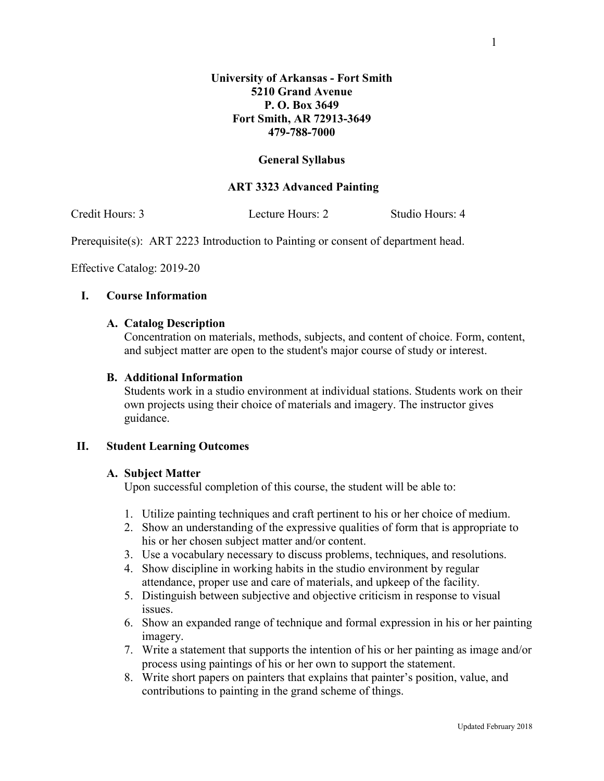## **General Syllabus**

# **ART 3323 Advanced Painting**

Credit Hours: 3 Lecture Hours: 2 Studio Hours: 4

Prerequisite(s): ART 2223 Introduction to Painting or consent of department head.

Effective Catalog: 2019-20

## **I. Course Information**

### **A. Catalog Description**

Concentration on materials, methods, subjects, and content of choice. Form, content, and subject matter are open to the student's major course of study or interest.

### **B. Additional Information**

Students work in a studio environment at individual stations. Students work on their own projects using their choice of materials and imagery. The instructor gives guidance.

## **II. Student Learning Outcomes**

#### **A. Subject Matter**

Upon successful completion of this course, the student will be able to:

- 1. Utilize painting techniques and craft pertinent to his or her choice of medium.
- 2. Show an understanding of the expressive qualities of form that is appropriate to his or her chosen subject matter and/or content.
- 3. Use a vocabulary necessary to discuss problems, techniques, and resolutions.
- 4. Show discipline in working habits in the studio environment by regular attendance, proper use and care of materials, and upkeep of the facility.
- 5. Distinguish between subjective and objective criticism in response to visual issues.
- 6. Show an expanded range of technique and formal expression in his or her painting imagery.
- 7. Write a statement that supports the intention of his or her painting as image and/or process using paintings of his or her own to support the statement.
- 8. Write short papers on painters that explains that painter's position, value, and contributions to painting in the grand scheme of things.